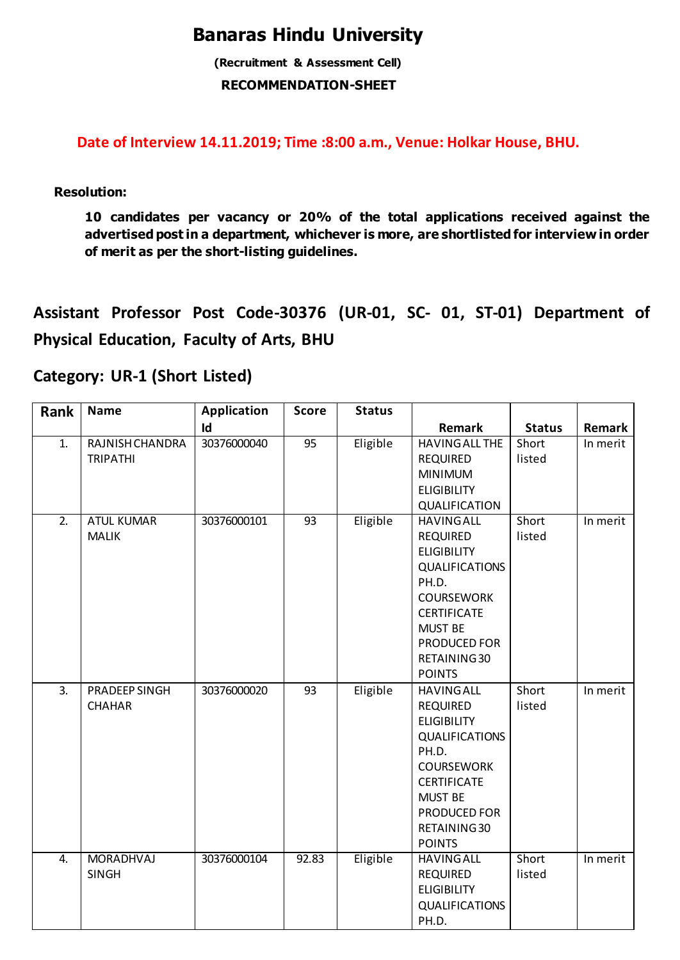### **Banaras Hindu University**

**(Recruitment & Assessment Cell) RECOMMENDATION-SHEET**

**Date of Interview 14.11.2019; Time :8:00 a.m., Venue: Holkar House, BHU.**

**Resolution:** 

**10 candidates per vacancy or 20% of the total applications received against the advertised post in a department, whichever is more, are shortlisted for interview in order of merit as per the short-listing guidelines.** 

**Assistant Professor Post Code-30376 (UR-01, SC- 01, ST-01) Department of Physical Education, Faculty of Arts, BHU**

#### **Category: UR-1 (Short Listed)**

| Rank             | <b>Name</b>                        | <b>Application</b> | <b>Score</b> | <b>Status</b> |                                                                                                                                                                                                            |                 |          |
|------------------|------------------------------------|--------------------|--------------|---------------|------------------------------------------------------------------------------------------------------------------------------------------------------------------------------------------------------------|-----------------|----------|
|                  |                                    | Id                 |              |               | Remark                                                                                                                                                                                                     | <b>Status</b>   | Remark   |
| 1.               | RAJNISH CHANDRA<br><b>TRIPATHI</b> | 30376000040        | 95           | Eligible      | <b>HAVING ALL THE</b><br><b>REQUIRED</b><br><b>MINIMUM</b><br><b>ELIGIBILITY</b><br>QUALIFICATION                                                                                                          | Short<br>listed | In merit |
| $\overline{2}$ . | <b>ATUL KUMAR</b><br><b>MALIK</b>  | 30376000101        | 93           | Eligible      | <b>HAVING ALL</b><br><b>REQUIRED</b><br><b>ELIGIBILITY</b><br><b>QUALIFICATIONS</b><br>PH.D.<br><b>COURSEWORK</b><br><b>CERTIFICATE</b><br><b>MUST BE</b><br>PRODUCED FOR<br>RETAINING 30<br><b>POINTS</b> | Short<br>listed | In merit |
| 3.               | PRADEEP SINGH<br><b>CHAHAR</b>     | 30376000020        | 93           | Eligible      | <b>HAVING ALL</b><br><b>REQUIRED</b><br><b>ELIGIBILITY</b><br><b>QUALIFICATIONS</b><br>PH.D.<br><b>COURSEWORK</b><br><b>CERTIFICATE</b><br><b>MUST BE</b><br>PRODUCED FOR<br>RETAINING 30<br><b>POINTS</b> | Short<br>listed | In merit |
| $\overline{4}$ . | <b>MORADHVAJ</b><br><b>SINGH</b>   | 30376000104        | 92.83        | Eligible      | <b>HAVING ALL</b><br><b>REQUIRED</b><br><b>ELIGIBILITY</b><br><b>QUALIFICATIONS</b><br>PH.D.                                                                                                               | Short<br>listed | In merit |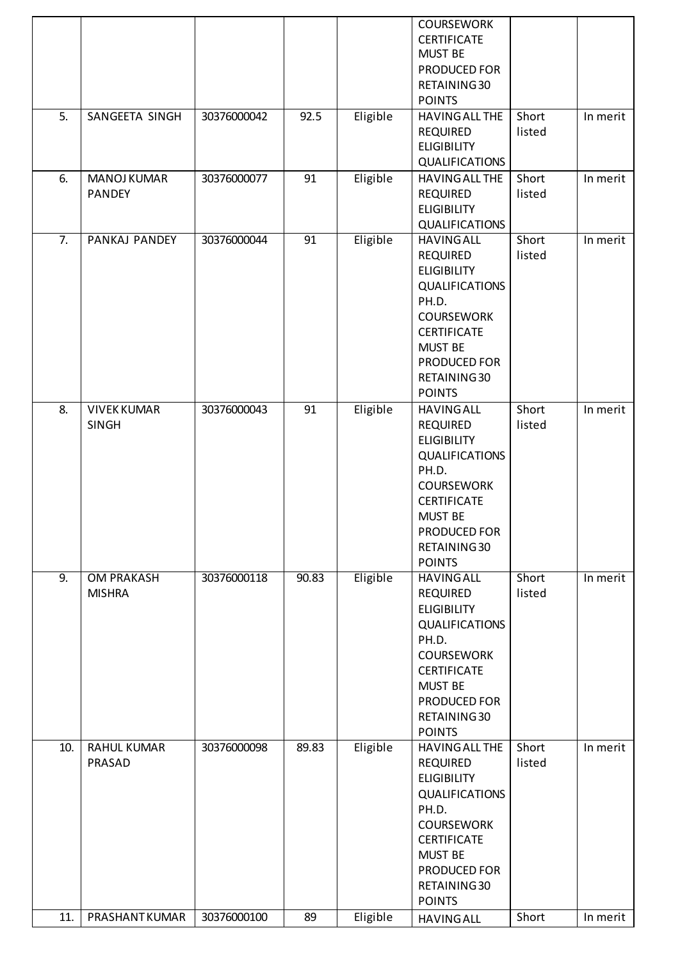|                  |                                     |             |       |          | <b>COURSEWORK</b><br><b>CERTIFICATE</b><br><b>MUST BE</b><br>PRODUCED FOR<br>RETAINING 30<br><b>POINTS</b>                                                                                                     |                 |          |
|------------------|-------------------------------------|-------------|-------|----------|----------------------------------------------------------------------------------------------------------------------------------------------------------------------------------------------------------------|-----------------|----------|
| 5.               | SANGEETA SINGH                      | 30376000042 | 92.5  | Eligible | HAVING ALL THE<br><b>REQUIRED</b><br><b>ELIGIBILITY</b><br><b>QUALIFICATIONS</b>                                                                                                                               | Short<br>listed | In merit |
| 6.               | <b>MANOJ KUMAR</b><br><b>PANDEY</b> | 30376000077 | 91    | Eligible | HAVING ALL THE<br><b>REQUIRED</b><br><b>ELIGIBILITY</b><br><b>QUALIFICATIONS</b>                                                                                                                               | Short<br>listed | In merit |
| $\overline{7}$ . | PANKAJ PANDEY                       | 30376000044 | 91    | Eligible | <b>HAVING ALL</b><br><b>REQUIRED</b><br><b>ELIGIBILITY</b><br>QUALIFICATIONS<br>PH.D.<br><b>COURSEWORK</b><br><b>CERTIFICATE</b><br><b>MUST BE</b><br>PRODUCED FOR<br>RETAINING 30<br><b>POINTS</b>            | Short<br>listed | In merit |
| 8.               | <b>VIVEK KUMAR</b><br><b>SINGH</b>  | 30376000043 | 91    | Eligible | <b>HAVING ALL</b><br><b>REQUIRED</b><br><b>ELIGIBILITY</b><br>QUALIFICATIONS<br>PH.D.<br><b>COURSEWORK</b><br><b>CERTIFICATE</b><br><b>MUST BE</b><br>PRODUCED FOR<br>RETAINING 30<br><b>POINTS</b>            | Short<br>listed | In merit |
| 9.               | <b>OM PRAKASH</b><br><b>MISHRA</b>  | 30376000118 | 90.83 | Eligible | <b>HAVING ALL</b><br><b>REQUIRED</b><br><b>ELIGIBILITY</b><br><b>QUALIFICATIONS</b><br>PH.D.<br><b>COURSEWORK</b><br><b>CERTIFICATE</b><br><b>MUST BE</b><br>PRODUCED FOR<br>RETAINING 30<br><b>POINTS</b>     | Short<br>listed | In merit |
| 10.              | <b>RAHUL KUMAR</b><br>PRASAD        | 30376000098 | 89.83 | Eligible | <b>HAVING ALL THE</b><br><b>REQUIRED</b><br><b>ELIGIBILITY</b><br><b>QUALIFICATIONS</b><br>PH.D.<br><b>COURSEWORK</b><br><b>CERTIFICATE</b><br><b>MUST BE</b><br>PRODUCED FOR<br>RETAINING 30<br><b>POINTS</b> | Short<br>listed | In merit |
| 11.              | PRASHANTKUMAR                       | 30376000100 | 89    | Eligible | <b>HAVING ALL</b>                                                                                                                                                                                              | Short           | In merit |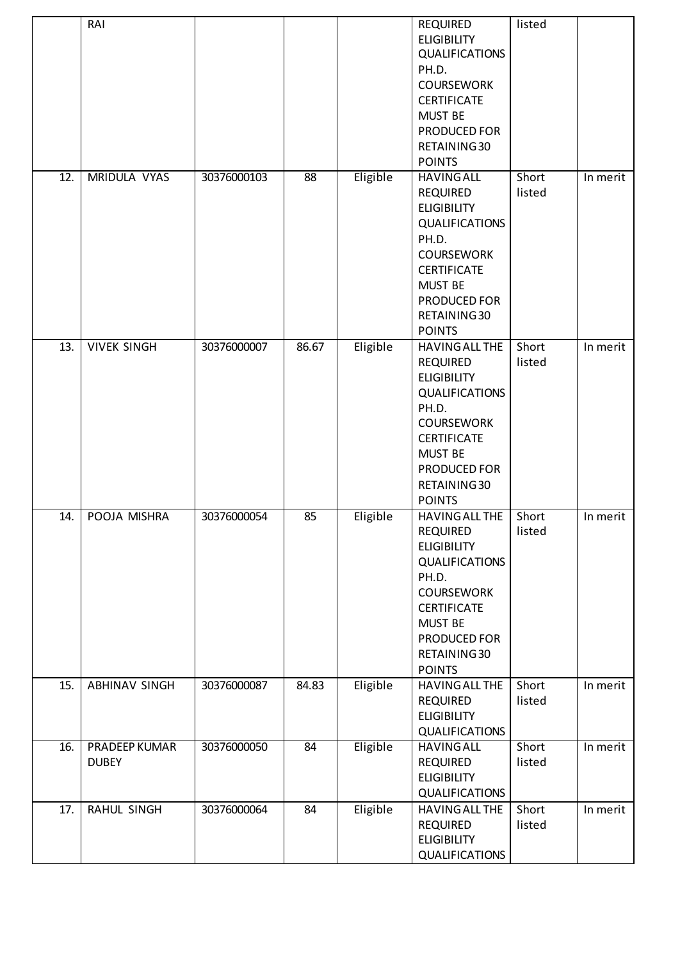|                   | RAI                           |             |                 |          | <b>REQUIRED</b><br><b>ELIGIBILITY</b><br><b>QUALIFICATIONS</b><br>PH.D.<br><b>COURSEWORK</b><br><b>CERTIFICATE</b><br><b>MUST BE</b><br>PRODUCED FOR<br>RETAINING 30<br><b>POINTS</b>                          | listed          |          |
|-------------------|-------------------------------|-------------|-----------------|----------|----------------------------------------------------------------------------------------------------------------------------------------------------------------------------------------------------------------|-----------------|----------|
| $\overline{12}$ . | MRIDULA VYAS                  | 30376000103 | 88              | Eligible | <b>HAVING ALL</b><br><b>REQUIRED</b><br><b>ELIGIBILITY</b><br><b>QUALIFICATIONS</b><br>PH.D.<br><b>COURSEWORK</b><br><b>CERTIFICATE</b><br><b>MUST BE</b><br>PRODUCED FOR<br>RETAINING 30<br><b>POINTS</b>     | Short<br>listed | In merit |
| 13.               | <b>VIVEK SINGH</b>            | 30376000007 | 86.67           | Eligible | <b>HAVING ALL THE</b><br><b>REQUIRED</b><br><b>ELIGIBILITY</b><br><b>QUALIFICATIONS</b><br>PH.D.<br><b>COURSEWORK</b><br><b>CERTIFICATE</b><br><b>MUST BE</b><br>PRODUCED FOR<br>RETAINING 30<br><b>POINTS</b> | Short<br>listed | In merit |
| 14.               | POOJA MISHRA                  | 30376000054 | 85              | Eligible | HAVING ALL THE<br><b>REQUIRED</b><br><b>ELIGIBILITY</b><br><b>QUALIFICATIONS</b><br>PH.D.<br><b>COURSEWORK</b><br><b>CERTIFICATE</b><br><b>MUST BE</b><br>PRODUCED FOR<br>RETAINING 30<br><b>POINTS</b>        | Short<br>listed | In merit |
| 15.               | <b>ABHINAV SINGH</b>          | 30376000087 | 84.83           | Eligible | HAVING ALL THE<br><b>REQUIRED</b><br><b>ELIGIBILITY</b><br>QUALIFICATIONS                                                                                                                                      | Short<br>listed | In merit |
| 16.               | PRADEEP KUMAR<br><b>DUBEY</b> | 30376000050 | $\overline{84}$ | Eligible | <b>HAVING ALL</b><br><b>REQUIRED</b><br><b>ELIGIBILITY</b><br>QUALIFICATIONS                                                                                                                                   | Short<br>listed | In merit |
| 17.               | RAHUL SINGH                   | 30376000064 | 84              | Eligible | HAVING ALL THE<br><b>REQUIRED</b><br><b>ELIGIBILITY</b><br>QUALIFICATIONS                                                                                                                                      | Short<br>listed | In merit |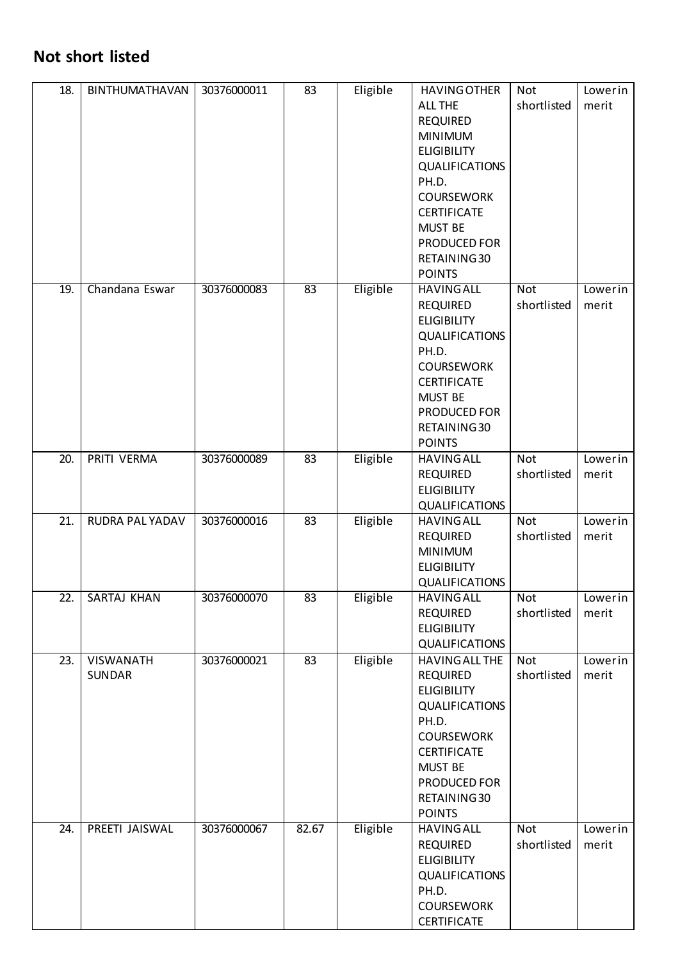### **Not short listed**

| 18. | BINTHUMATHAVAN      | 30376000011 | 83    | Eligible | <b>HAVING OTHER</b><br><b>ALL THE</b><br><b>REQUIRED</b><br><b>MINIMUM</b><br><b>ELIGIBILITY</b><br><b>QUALIFICATIONS</b><br>PH.D.<br><b>COURSEWORK</b><br><b>CERTIFICATE</b><br><b>MUST BE</b><br>PRODUCED FOR<br>RETAINING 30<br><b>POINTS</b> | <b>Not</b><br>shortlisted | Lowerin<br>merit |
|-----|---------------------|-------------|-------|----------|--------------------------------------------------------------------------------------------------------------------------------------------------------------------------------------------------------------------------------------------------|---------------------------|------------------|
| 19. | Chandana Eswar      | 30376000083 | 83    | Eligible | <b>HAVING ALL</b><br><b>REQUIRED</b><br><b>ELIGIBILITY</b><br>QUALIFICATIONS<br>PH.D.<br><b>COURSEWORK</b><br><b>CERTIFICATE</b><br><b>MUST BE</b><br>PRODUCED FOR<br>RETAINING 30<br><b>POINTS</b>                                              | <b>Not</b><br>shortlisted | Lowerin<br>merit |
| 20. | PRITI VERMA         | 30376000089 | 83    | Eligible | <b>HAVING ALL</b><br><b>REQUIRED</b><br><b>ELIGIBILITY</b><br>QUALIFICATIONS                                                                                                                                                                     | <b>Not</b><br>shortlisted | Lowerin<br>merit |
| 21. | RUDRA PAL YADAV     | 30376000016 | 83    | Eligible | <b>HAVING ALL</b><br><b>REQUIRED</b><br><b>MINIMUM</b><br><b>ELIGIBILITY</b><br>QUALIFICATIONS                                                                                                                                                   | <b>Not</b><br>shortlisted | Lowerin<br>merit |
| 22. | SARTAJ KHAN         | 30376000070 | 83    | Eligible | <b>HAVING ALL</b><br><b>REQUIRED</b><br><b>ELIGIBILITY</b><br><b>QUALIFICATIONS</b>                                                                                                                                                              | Not<br>shortlisted        | Lowerin<br>merit |
| 23. | VISWANATH<br>SUNDAR | 30376000021 | 83    | Eligible | HAVING ALL THE<br><b>REQUIRED</b><br><b>ELIGIBILITY</b><br><b>QUALIFICATIONS</b><br>PH.D.<br><b>COURSEWORK</b><br><b>CERTIFICATE</b><br><b>MUST BE</b><br>PRODUCED FOR<br>RETAINING 30<br><b>POINTS</b>                                          | Not<br>shortlisted        | Lowerin<br>merit |
| 24. | PREETI JAISWAL      | 30376000067 | 82.67 | Eligible | <b>HAVING ALL</b><br><b>REQUIRED</b><br><b>ELIGIBILITY</b><br><b>QUALIFICATIONS</b><br>PH.D.<br><b>COURSEWORK</b><br><b>CERTIFICATE</b>                                                                                                          | <b>Not</b><br>shortlisted | Lowerin<br>merit |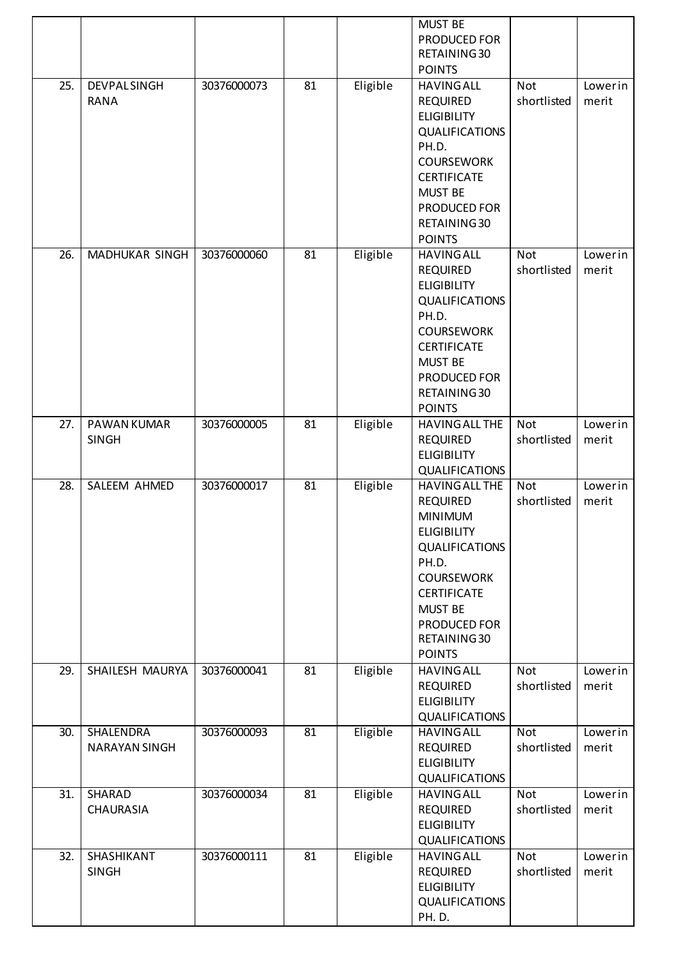|                   |                                   |             |    |          | <b>MUST BE</b><br>PRODUCED FOR<br>RETAINING 30<br><b>POINTS</b>                                                                                                                                                                  |                           |                  |
|-------------------|-----------------------------------|-------------|----|----------|----------------------------------------------------------------------------------------------------------------------------------------------------------------------------------------------------------------------------------|---------------------------|------------------|
| 25.               | <b>DEVPALSINGH</b><br><b>RANA</b> | 30376000073 | 81 | Eligible | <b>HAVING ALL</b><br><b>REQUIRED</b><br><b>ELIGIBILITY</b><br><b>QUALIFICATIONS</b><br>PH.D.<br><b>COURSEWORK</b><br><b>CERTIFICATE</b><br><b>MUST BE</b><br>PRODUCED FOR<br>RETAINING 30<br><b>POINTS</b>                       | Not<br>shortlisted        | Lowerin<br>merit |
| $\overline{26}$ . | <b>MADHUKAR SINGH</b>             | 30376000060 | 81 | Eligible | <b>HAVING ALL</b><br><b>REQUIRED</b><br><b>ELIGIBILITY</b><br><b>QUALIFICATIONS</b><br>PH.D.<br><b>COURSEWORK</b><br><b>CERTIFICATE</b><br><b>MUST BE</b><br>PRODUCED FOR<br>RETAINING 30<br><b>POINTS</b>                       | <b>Not</b><br>shortlisted | Lowerin<br>merit |
| 27.               | PAWAN KUMAR<br><b>SINGH</b>       | 30376000005 | 81 | Eligible | <b>HAVING ALL THE</b><br><b>REQUIRED</b><br><b>ELIGIBILITY</b><br><b>QUALIFICATIONS</b>                                                                                                                                          | <b>Not</b><br>shortlisted | Lowerin<br>merit |
| 28.               | SALEEM AHMED                      | 30376000017 | 81 | Eligible | <b>HAVING ALL THE</b><br><b>REQUIRED</b><br><b>MINIMUM</b><br><b>ELIGIBILITY</b><br><b>QUALIFICATIONS</b><br>PH.D.<br><b>COURSEWORK</b><br><b>CERTIFICATE</b><br><b>MUST BE</b><br>PRODUCED FOR<br>RETAINING 30<br><b>POINTS</b> | <b>Not</b><br>shortlisted | Lowerin<br>merit |
| 29.               | SHAILESH MAURYA                   | 30376000041 | 81 | Eligible | <b>HAVING ALL</b><br><b>REQUIRED</b><br><b>ELIGIBILITY</b><br><b>QUALIFICATIONS</b>                                                                                                                                              | <b>Not</b><br>shortlisted | Lowerin<br>merit |
| 30.               | SHALENDRA<br><b>NARAYAN SINGH</b> | 30376000093 | 81 | Eligible | <b>HAVING ALL</b><br><b>REQUIRED</b><br><b>ELIGIBILITY</b><br><b>QUALIFICATIONS</b>                                                                                                                                              | <b>Not</b><br>shortlisted | Lowerin<br>merit |
| 31.               | SHARAD<br><b>CHAURASIA</b>        | 30376000034 | 81 | Eligible | <b>HAVING ALL</b><br><b>REQUIRED</b><br><b>ELIGIBILITY</b><br><b>QUALIFICATIONS</b>                                                                                                                                              | <b>Not</b><br>shortlisted | Lowerin<br>merit |
| 32.               | SHASHIKANT<br><b>SINGH</b>        | 30376000111 | 81 | Eligible | <b>HAVING ALL</b><br><b>REQUIRED</b><br><b>ELIGIBILITY</b><br><b>QUALIFICATIONS</b><br>PH.D.                                                                                                                                     | <b>Not</b><br>shortlisted | Lowerin<br>merit |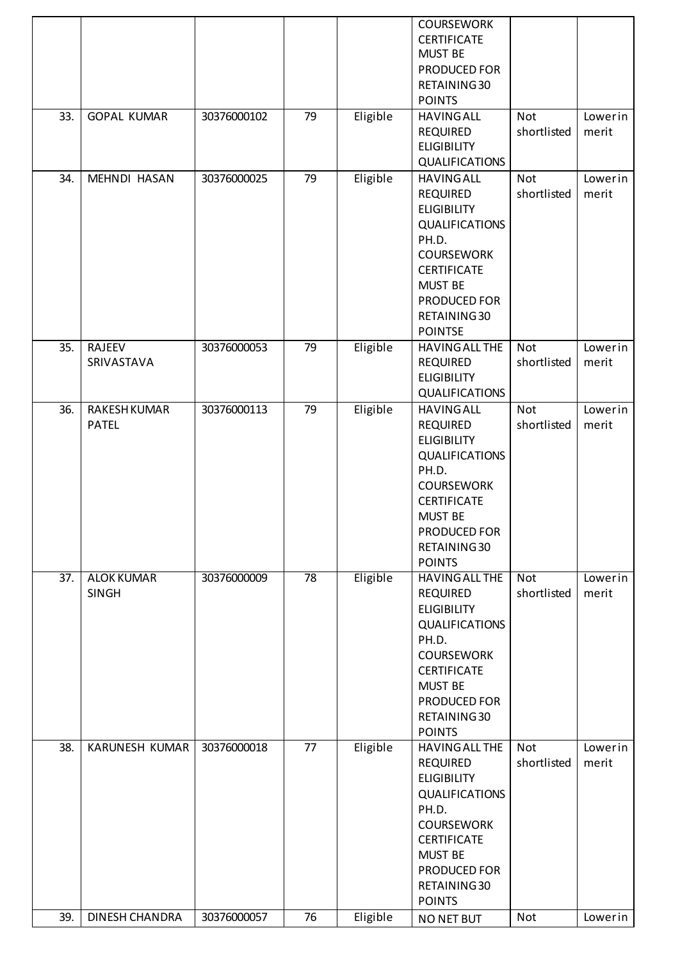| 33.<br>34.        | <b>GOPAL KUMAR</b><br><b>MEHNDI HASAN</b> | 30376000102<br>30376000025 | 79<br>79        | Eligible<br>Eligible | <b>COURSEWORK</b><br><b>CERTIFICATE</b><br><b>MUST BE</b><br>PRODUCED FOR<br>RETAINING 30<br><b>POINTS</b><br><b>HAVING ALL</b><br><b>REQUIRED</b><br><b>ELIGIBILITY</b><br><b>QUALIFICATIONS</b><br><b>HAVING ALL</b> | Not<br>shortlisted<br>Not | Lowerin<br>merit<br>Lowerin |
|-------------------|-------------------------------------------|----------------------------|-----------------|----------------------|------------------------------------------------------------------------------------------------------------------------------------------------------------------------------------------------------------------------|---------------------------|-----------------------------|
|                   |                                           |                            |                 |                      | <b>REQUIRED</b><br><b>ELIGIBILITY</b><br>QUALIFICATIONS<br>PH.D.<br><b>COURSEWORK</b><br><b>CERTIFICATE</b><br><b>MUST BE</b><br>PRODUCED FOR<br>RETAINING 30<br><b>POINTSE</b>                                        | shortlisted               | merit                       |
| 35.               | RAJEEV<br>SRIVASTAVA                      | 30376000053                | 79              | Eligible             | HAVING ALL THE<br><b>REQUIRED</b><br><b>ELIGIBILITY</b><br><b>QUALIFICATIONS</b>                                                                                                                                       | <b>Not</b><br>shortlisted | Lowerin<br>merit            |
| 36.               | <b>RAKESH KUMAR</b><br><b>PATEL</b>       | 30376000113                | 79              | Eligible             | <b>HAVING ALL</b><br><b>REQUIRED</b><br><b>ELIGIBILITY</b><br>QUALIFICATIONS<br>PH.D.<br><b>COURSEWORK</b><br><b>CERTIFICATE</b><br><b>MUST BE</b><br>PRODUCED FOR<br>RETAINING 30<br><b>POINTS</b>                    | Not<br>shortlisted        | Lowerin<br>merit            |
| $\overline{37}$ . | <b>ALOK KUMAR</b><br><b>SINGH</b>         | 30376000009                | $\overline{78}$ | Eligible             | <b>HAVING ALL THE</b><br><b>REQUIRED</b><br><b>ELIGIBILITY</b><br><b>QUALIFICATIONS</b><br>PH.D.<br><b>COURSEWORK</b><br><b>CERTIFICATE</b><br><b>MUST BE</b><br>PRODUCED FOR<br>RETAINING 30<br><b>POINTS</b>         | Not<br>shortlisted        | Lowerin<br>merit            |
| 38.               | <b>KARUNESH KUMAR</b>                     | 30376000018                | 77              | Eligible             | <b>HAVING ALL THE</b><br><b>REQUIRED</b><br><b>ELIGIBILITY</b><br><b>QUALIFICATIONS</b><br>PH.D.<br><b>COURSEWORK</b><br><b>CERTIFICATE</b><br><b>MUST BE</b><br>PRODUCED FOR<br>RETAINING 30<br><b>POINTS</b>         | Not<br>shortlisted        | Lowerin<br>merit            |
| 39.               | <b>DINESH CHANDRA</b>                     | 30376000057                | 76              | Eligible             | NO NET BUT                                                                                                                                                                                                             | Not                       | Lowerin                     |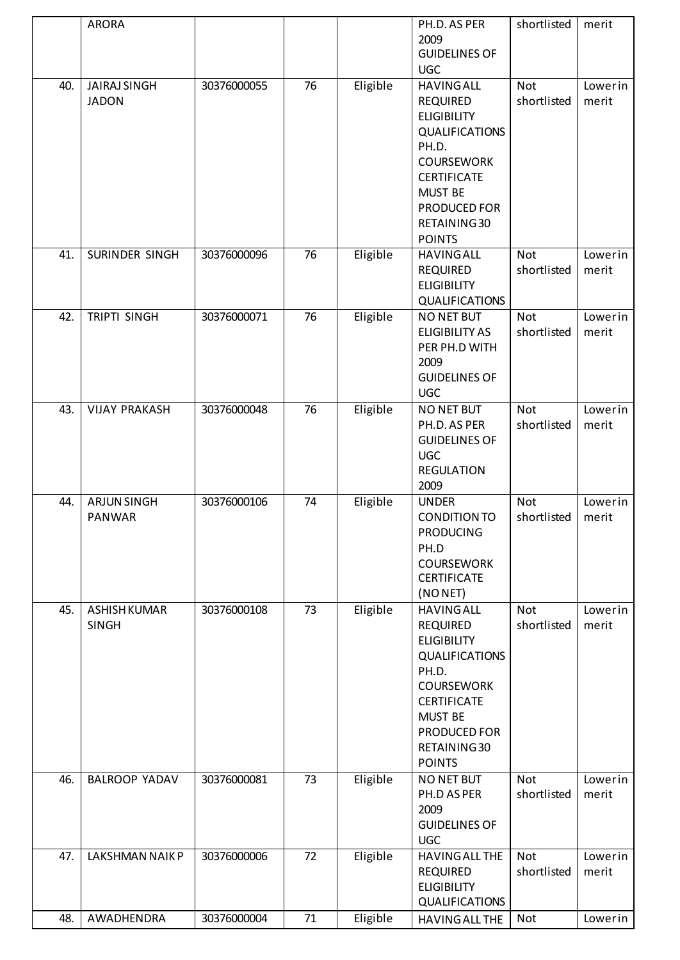|     | <b>ARORA</b>         |             |                 |          | PH.D. AS PER                          | shortlisted | merit   |
|-----|----------------------|-------------|-----------------|----------|---------------------------------------|-------------|---------|
|     |                      |             |                 |          | 2009                                  |             |         |
|     |                      |             |                 |          | <b>GUIDELINES OF</b>                  |             |         |
|     |                      |             |                 |          | <b>UGC</b>                            |             |         |
| 40. | <b>JAIRAJ SINGH</b>  | 30376000055 | 76              | Eligible | <b>HAVING ALL</b>                     | <b>Not</b>  | Lowerin |
|     | <b>JADON</b>         |             |                 |          | <b>REQUIRED</b>                       | shortlisted | merit   |
|     |                      |             |                 |          | <b>ELIGIBILITY</b>                    |             |         |
|     |                      |             |                 |          | <b>QUALIFICATIONS</b><br>PH.D.        |             |         |
|     |                      |             |                 |          | <b>COURSEWORK</b>                     |             |         |
|     |                      |             |                 |          | <b>CERTIFICATE</b>                    |             |         |
|     |                      |             |                 |          | <b>MUST BE</b>                        |             |         |
|     |                      |             |                 |          | PRODUCED FOR                          |             |         |
|     |                      |             |                 |          | RETAINING 30                          |             |         |
|     |                      |             |                 |          | <b>POINTS</b>                         |             |         |
| 41. | SURINDER SINGH       | 30376000096 | $\overline{76}$ | Eligible | <b>HAVING ALL</b>                     | <b>Not</b>  | Lowerin |
|     |                      |             |                 |          | <b>REQUIRED</b>                       | shortlisted | merit   |
|     |                      |             |                 |          | <b>ELIGIBILITY</b>                    |             |         |
|     |                      |             |                 |          | <b>QUALIFICATIONS</b>                 |             |         |
| 42. | <b>TRIPTI SINGH</b>  | 30376000071 | 76              | Eligible | <b>NO NET BUT</b>                     | Not         | Lowerin |
|     |                      |             |                 |          | <b>ELIGIBILITY AS</b>                 | shortlisted | merit   |
|     |                      |             |                 |          | PER PH.D WITH<br>2009                 |             |         |
|     |                      |             |                 |          | <b>GUIDELINES OF</b>                  |             |         |
|     |                      |             |                 |          | <b>UGC</b>                            |             |         |
| 43. | <b>VIJAY PRAKASH</b> | 30376000048 | 76              | Eligible | NO NET BUT                            | <b>Not</b>  | Lowerin |
|     |                      |             |                 |          | PH.D. AS PER                          | shortlisted | merit   |
|     |                      |             |                 |          | <b>GUIDELINES OF</b>                  |             |         |
|     |                      |             |                 |          | <b>UGC</b>                            |             |         |
|     |                      |             |                 |          | <b>REGULATION</b>                     |             |         |
|     |                      |             |                 |          | 2009                                  |             |         |
| 44. | <b>ARJUN SINGH</b>   | 30376000106 | 74              | Eligible | <b>UNDER</b>                          | <b>Not</b>  | Lowerin |
|     | <b>PANWAR</b>        |             |                 |          | <b>CONDITION TO</b>                   | shortlisted | merit   |
|     |                      |             |                 |          | <b>PRODUCING</b><br>PH.D              |             |         |
|     |                      |             |                 |          | <b>COURSEWORK</b>                     |             |         |
|     |                      |             |                 |          | <b>CERTIFICATE</b>                    |             |         |
|     |                      |             |                 |          | (NONET)                               |             |         |
| 45. | <b>ASHISH KUMAR</b>  | 30376000108 | 73              | Eligible | <b>HAVING ALL</b>                     | <b>Not</b>  | Lowerin |
|     | <b>SINGH</b>         |             |                 |          | <b>REQUIRED</b>                       | shortlisted | merit   |
|     |                      |             |                 |          | <b>ELIGIBILITY</b>                    |             |         |
|     |                      |             |                 |          | <b>QUALIFICATIONS</b>                 |             |         |
|     |                      |             |                 |          | PH.D.                                 |             |         |
|     |                      |             |                 |          | <b>COURSEWORK</b>                     |             |         |
|     |                      |             |                 |          | <b>CERTIFICATE</b><br><b>MUST BE</b>  |             |         |
|     |                      |             |                 |          | PRODUCED FOR                          |             |         |
|     |                      |             |                 |          | RETAINING 30                          |             |         |
|     |                      |             |                 |          | <b>POINTS</b>                         |             |         |
| 46. | <b>BALROOP YADAV</b> | 30376000081 | 73              | Eligible | NO NET BUT                            | <b>Not</b>  | Lowerin |
|     |                      |             |                 |          | PH.D AS PER                           | shortlisted | merit   |
|     |                      |             |                 |          | 2009                                  |             |         |
|     |                      |             |                 |          | <b>GUIDELINES OF</b>                  |             |         |
|     |                      |             |                 |          | <b>UGC</b>                            |             |         |
| 47. | LAKSHMAN NAIK P      | 30376000006 | 72              | Eligible | HAVING ALL THE                        | <b>Not</b>  | Lowerin |
|     |                      |             |                 |          | <b>REQUIRED</b><br><b>ELIGIBILITY</b> | shortlisted | merit   |
|     |                      |             |                 |          | <b>QUALIFICATIONS</b>                 |             |         |
| 48. | AWADHENDRA           | 30376000004 | $71\,$          | Eligible | HAVING ALL THE                        | Not         | Lowerin |
|     |                      |             |                 |          |                                       |             |         |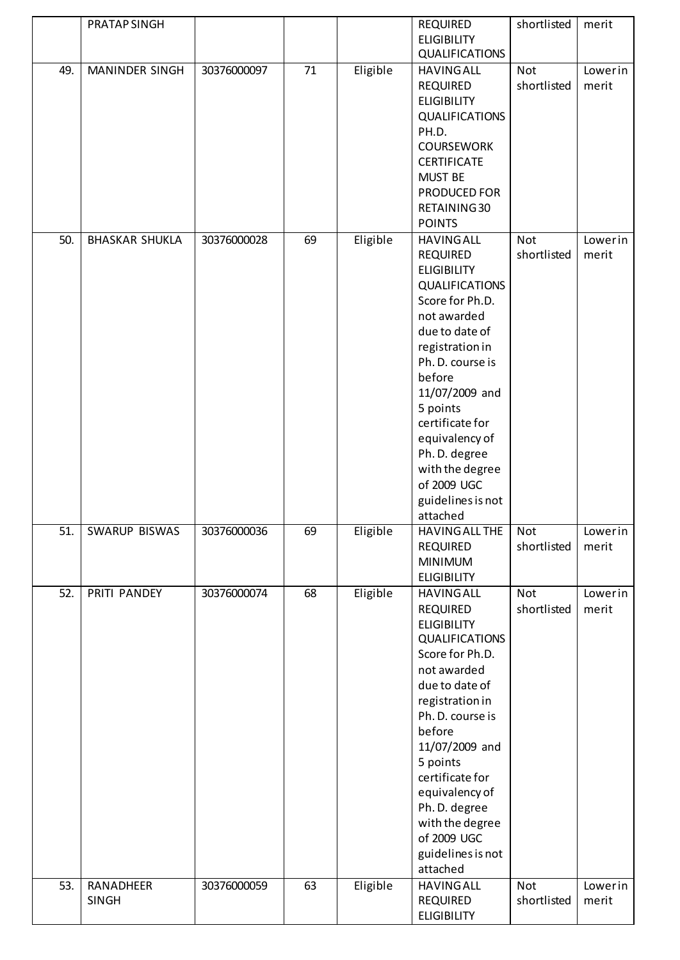|     | PRATAP SINGH          |             |    |          | <b>REQUIRED</b>       | shortlisted | merit   |
|-----|-----------------------|-------------|----|----------|-----------------------|-------------|---------|
|     |                       |             |    |          | <b>ELIGIBILITY</b>    |             |         |
|     |                       |             |    |          | <b>QUALIFICATIONS</b> |             |         |
| 49. | <b>MANINDER SINGH</b> | 30376000097 | 71 | Eligible | <b>HAVING ALL</b>     | Not         | Lowerin |
|     |                       |             |    |          | <b>REQUIRED</b>       | shortlisted | merit   |
|     |                       |             |    |          | <b>ELIGIBILITY</b>    |             |         |
|     |                       |             |    |          | <b>QUALIFICATIONS</b> |             |         |
|     |                       |             |    |          | PH.D.                 |             |         |
|     |                       |             |    |          | <b>COURSEWORK</b>     |             |         |
|     |                       |             |    |          | <b>CERTIFICATE</b>    |             |         |
|     |                       |             |    |          | <b>MUST BE</b>        |             |         |
|     |                       |             |    |          | PRODUCED FOR          |             |         |
|     |                       |             |    |          | RETAINING 30          |             |         |
|     |                       |             |    |          | <b>POINTS</b>         |             |         |
| 50. | <b>BHASKAR SHUKLA</b> | 30376000028 | 69 | Eligible | <b>HAVING ALL</b>     | <b>Not</b>  | Lowerin |
|     |                       |             |    |          | <b>REQUIRED</b>       | shortlisted | merit   |
|     |                       |             |    |          | <b>ELIGIBILITY</b>    |             |         |
|     |                       |             |    |          | <b>QUALIFICATIONS</b> |             |         |
|     |                       |             |    |          | Score for Ph.D.       |             |         |
|     |                       |             |    |          | not awarded           |             |         |
|     |                       |             |    |          | due to date of        |             |         |
|     |                       |             |    |          | registration in       |             |         |
|     |                       |             |    |          | Ph. D. course is      |             |         |
|     |                       |             |    |          | before                |             |         |
|     |                       |             |    |          | 11/07/2009 and        |             |         |
|     |                       |             |    |          | 5 points              |             |         |
|     |                       |             |    |          | certificate for       |             |         |
|     |                       |             |    |          | equivalency of        |             |         |
|     |                       |             |    |          | Ph. D. degree         |             |         |
|     |                       |             |    |          | with the degree       |             |         |
|     |                       |             |    |          | of 2009 UGC           |             |         |
|     |                       |             |    |          | guidelines is not     |             |         |
|     |                       |             |    |          | attached              |             |         |
| 51. | SWARUP BISWAS         | 30376000036 | 69 | Eligible | HAVING ALL THE        | Not         | Lowerin |
|     |                       |             |    |          | <b>REQUIRED</b>       | shortlisted | merit   |
|     |                       |             |    |          | <b>MINIMUM</b>        |             |         |
|     |                       |             |    |          | <b>ELIGIBILITY</b>    |             |         |
| 52. | PRITI PANDEY          | 30376000074 | 68 | Eligible | <b>HAVING ALL</b>     | <b>Not</b>  | Lowerin |
|     |                       |             |    |          | <b>REQUIRED</b>       | shortlisted | merit   |
|     |                       |             |    |          | <b>ELIGIBILITY</b>    |             |         |
|     |                       |             |    |          | <b>QUALIFICATIONS</b> |             |         |
|     |                       |             |    |          | Score for Ph.D.       |             |         |
|     |                       |             |    |          | not awarded           |             |         |
|     |                       |             |    |          | due to date of        |             |         |
|     |                       |             |    |          | registration in       |             |         |
|     |                       |             |    |          | Ph. D. course is      |             |         |
|     |                       |             |    |          | before                |             |         |
|     |                       |             |    |          | 11/07/2009 and        |             |         |
|     |                       |             |    |          | 5 points              |             |         |
|     |                       |             |    |          | certificate for       |             |         |
|     |                       |             |    |          | equivalency of        |             |         |
|     |                       |             |    |          | Ph. D. degree         |             |         |
|     |                       |             |    |          | with the degree       |             |         |
|     |                       |             |    |          | of 2009 UGC           |             |         |
|     |                       |             |    |          | guidelines is not     |             |         |
|     |                       |             |    |          | attached              |             |         |
| 53. | RANADHEER             | 30376000059 | 63 | Eligible | <b>HAVING ALL</b>     | Not         | Lowerin |
|     | <b>SINGH</b>          |             |    |          | <b>REQUIRED</b>       | shortlisted | merit   |
|     |                       |             |    |          | <b>ELIGIBILITY</b>    |             |         |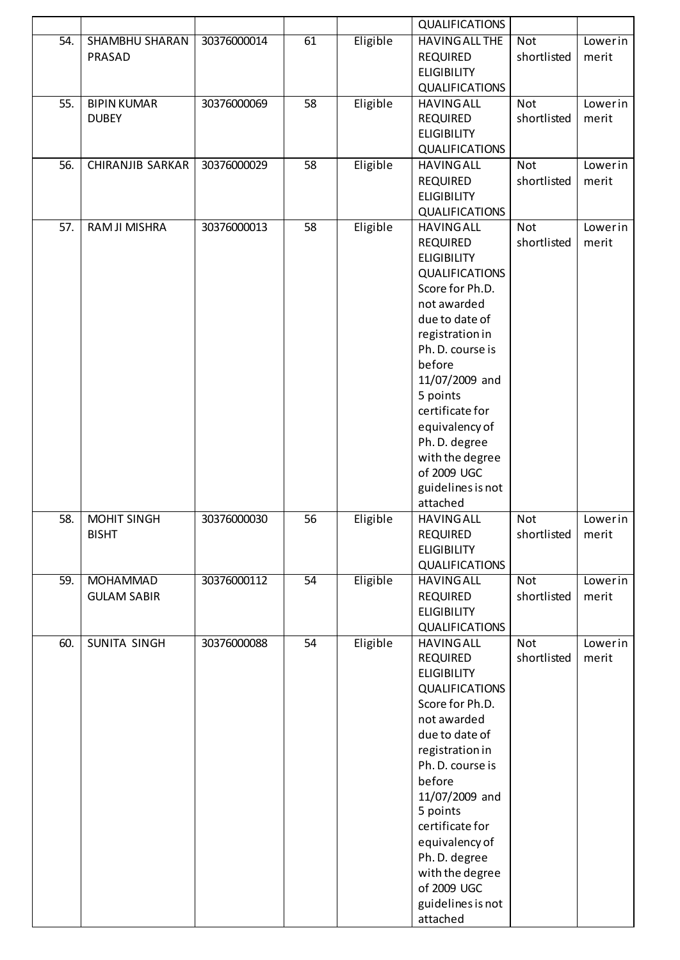|     |                                       |             |                 |          | <b>QUALIFICATIONS</b>                                                                                                                                                                                                                                                                                                                           |                           |                  |
|-----|---------------------------------------|-------------|-----------------|----------|-------------------------------------------------------------------------------------------------------------------------------------------------------------------------------------------------------------------------------------------------------------------------------------------------------------------------------------------------|---------------------------|------------------|
| 54. | SHAMBHU SHARAN<br>PRASAD              | 30376000014 | 61              | Eligible | <b>HAVING ALL THE</b><br><b>REQUIRED</b><br><b>ELIGIBILITY</b><br>QUALIFICATIONS                                                                                                                                                                                                                                                                | Not<br>shortlisted        | Lowerin<br>merit |
| 55. | <b>BIPIN KUMAR</b><br><b>DUBEY</b>    | 30376000069 | 58              | Eligible | <b>HAVING ALL</b><br><b>REQUIRED</b><br><b>ELIGIBILITY</b><br><b>QUALIFICATIONS</b>                                                                                                                                                                                                                                                             | Not<br>shortlisted        | Lowerin<br>merit |
| 56. | <b>CHIRANJIB SARKAR</b>               | 30376000029 | 58              | Eligible | <b>HAVING ALL</b><br><b>REQUIRED</b><br><b>ELIGIBILITY</b><br><b>QUALIFICATIONS</b>                                                                                                                                                                                                                                                             | Not<br>shortlisted        | Lowerin<br>merit |
| 57. | RAM JI MISHRA                         | 30376000013 | 58              | Eligible | <b>HAVING ALL</b><br><b>REQUIRED</b><br><b>ELIGIBILITY</b><br><b>QUALIFICATIONS</b><br>Score for Ph.D.<br>not awarded<br>due to date of<br>registration in<br>Ph. D. course is<br>before<br>11/07/2009 and<br>5 points<br>certificate for<br>equivalency of<br>Ph. D. degree<br>with the degree<br>of 2009 UGC<br>guidelines is not<br>attached | Not<br>shortlisted        | Lowerin<br>merit |
| 58. | MOHIT SINGH<br><b>BISHT</b>           | 30376000030 | 56              | Eligible | <b>HAVING ALL</b><br><b>REQUIRED</b><br><b>ELIGIBILITY</b><br><b>QUALIFICATIONS</b>                                                                                                                                                                                                                                                             | Not<br>shortlisted        | Lowerin<br>merit |
| 59. | <b>MOHAMMAD</b><br><b>GULAM SABIR</b> | 30376000112 | $\overline{54}$ | Eligible | <b>HAVING ALL</b><br><b>REQUIRED</b><br><b>ELIGIBILITY</b><br><b>QUALIFICATIONS</b>                                                                                                                                                                                                                                                             | Not<br>shortlisted        | Lowerin<br>merit |
| 60. | SUNITA SINGH                          | 30376000088 | 54              | Eligible | <b>HAVING ALL</b><br><b>REQUIRED</b><br><b>ELIGIBILITY</b><br><b>QUALIFICATIONS</b><br>Score for Ph.D.<br>not awarded<br>due to date of<br>registration in<br>Ph. D. course is<br>before<br>11/07/2009 and<br>5 points<br>certificate for<br>equivalency of<br>Ph. D. degree<br>with the degree<br>of 2009 UGC<br>guidelines is not<br>attached | <b>Not</b><br>shortlisted | Lowerin<br>merit |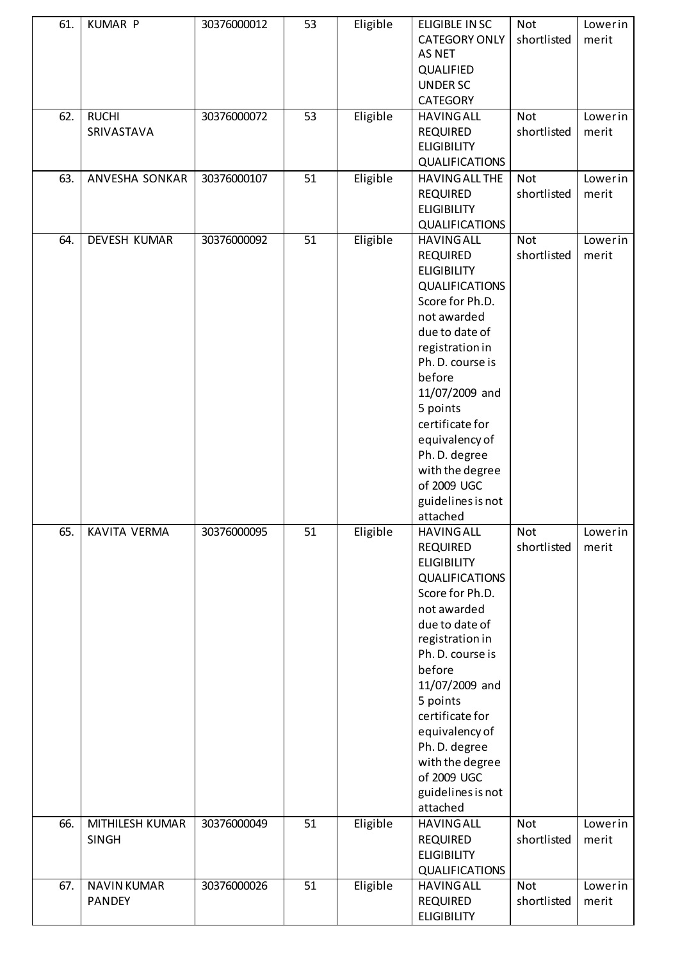| 61.        | <b>KUMAR P</b>                      | 30376000012                | 53       | Eligible             | <b>ELIGIBLE IN SC</b><br><b>CATEGORY ONLY</b><br><b>AS NET</b><br>QUALIFIED<br><b>UNDER SC</b><br><b>CATEGORY</b>                                                                                                                                                                                                                                                    | <b>Not</b><br>shortlisted        | Lowerin<br>merit            |
|------------|-------------------------------------|----------------------------|----------|----------------------|----------------------------------------------------------------------------------------------------------------------------------------------------------------------------------------------------------------------------------------------------------------------------------------------------------------------------------------------------------------------|----------------------------------|-----------------------------|
| 62.        | <b>RUCHI</b><br>SRIVASTAVA          | 30376000072                | 53       | Eligible             | <b>HAVING ALL</b><br><b>REQUIRED</b><br><b>ELIGIBILITY</b><br><b>QUALIFICATIONS</b>                                                                                                                                                                                                                                                                                  | <b>Not</b><br>shortlisted        | Lowerin<br>merit            |
| 63.        | ANVESHA SONKAR                      | 30376000107                | 51       | Eligible             | <b>HAVING ALL THE</b><br><b>REQUIRED</b><br><b>ELIGIBILITY</b><br><b>QUALIFICATIONS</b>                                                                                                                                                                                                                                                                              | <b>Not</b><br>shortlisted        | Lowerin<br>merit            |
| 64.        | DEVESH KUMAR                        | 30376000092                | 51       | Eligible             | <b>HAVING ALL</b><br><b>REQUIRED</b><br><b>ELIGIBILITY</b><br><b>QUALIFICATIONS</b><br>Score for Ph.D.<br>not awarded<br>due to date of<br>registration in<br>Ph. D. course is<br>before<br>11/07/2009 and<br>5 points<br>certificate for<br>equivalency of<br>Ph. D. degree<br>with the degree<br>of 2009 UGC<br>guidelines is not<br>attached                      | Not<br>shortlisted               | Lowerin<br>merit            |
| 65.<br>66. | KAVITA VERMA<br>MITHILESH KUMAR     | 30376000095<br>30376000049 | 51<br>51 | Eligible<br>Eligible | <b>HAVING ALL</b><br><b>REQUIRED</b><br><b>ELIGIBILITY</b><br><b>QUALIFICATIONS</b><br>Score for Ph.D.<br>not awarded<br>due to date of<br>registration in<br>Ph. D. course is<br>before<br>11/07/2009 and<br>5 points<br>certificate for<br>equivalency of<br>Ph. D. degree<br>with the degree<br>of 2009 UGC<br>guidelines is not<br>attached<br><b>HAVING ALL</b> | Not<br>shortlisted<br><b>Not</b> | Lowerin<br>merit<br>Lowerin |
|            | <b>SINGH</b>                        |                            |          |                      | <b>REQUIRED</b><br><b>ELIGIBILITY</b><br><b>QUALIFICATIONS</b>                                                                                                                                                                                                                                                                                                       | shortlisted                      | merit                       |
| 67.        | <b>NAVIN KUMAR</b><br><b>PANDEY</b> | 30376000026                | 51       | Eligible             | <b>HAVING ALL</b><br><b>REQUIRED</b><br><b>ELIGIBILITY</b>                                                                                                                                                                                                                                                                                                           | <b>Not</b><br>shortlisted        | Lowerin<br>merit            |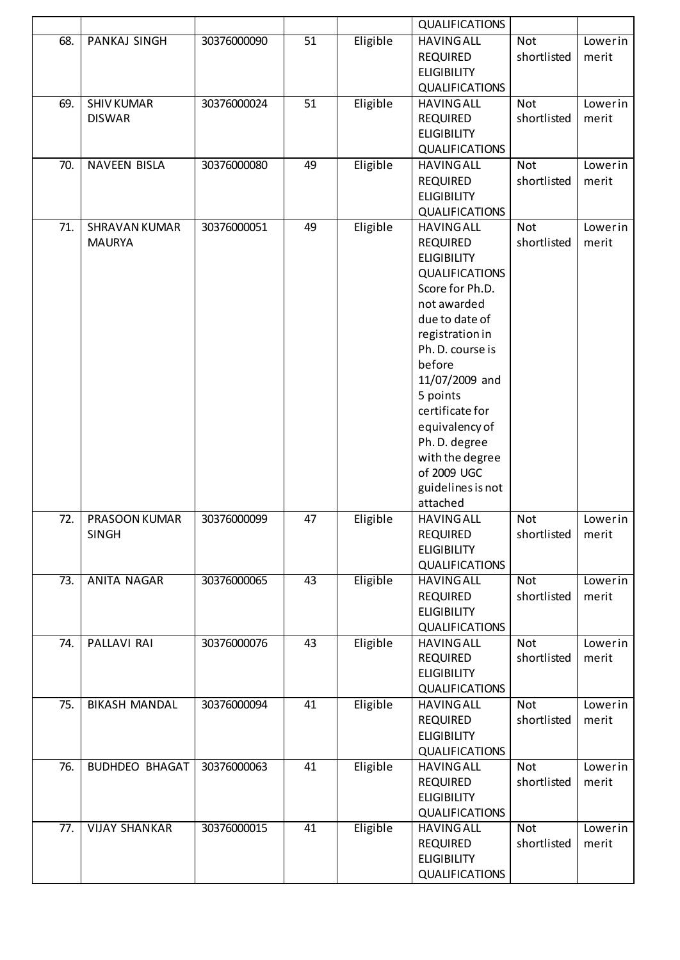|     |                                       |             |                 |          | <b>QUALIFICATIONS</b>                                                                                                                                                                                                                                                                                                                           |                           |                  |
|-----|---------------------------------------|-------------|-----------------|----------|-------------------------------------------------------------------------------------------------------------------------------------------------------------------------------------------------------------------------------------------------------------------------------------------------------------------------------------------------|---------------------------|------------------|
| 68. | PANKAJ SINGH                          | 30376000090 | 51              | Eligible | <b>HAVING ALL</b><br><b>REQUIRED</b><br><b>ELIGIBILITY</b><br><b>QUALIFICATIONS</b>                                                                                                                                                                                                                                                             | Not<br>shortlisted        | Lowerin<br>merit |
| 69. | <b>SHIV KUMAR</b><br><b>DISWAR</b>    | 30376000024 | 51              | Eligible | <b>HAVING ALL</b><br><b>REQUIRED</b><br><b>ELIGIBILITY</b><br><b>QUALIFICATIONS</b>                                                                                                                                                                                                                                                             | <b>Not</b><br>shortlisted | Lowerin<br>merit |
| 70. | <b>NAVEEN BISLA</b>                   | 30376000080 | 49              | Eligible | <b>HAVING ALL</b><br><b>REQUIRED</b><br><b>ELIGIBILITY</b><br><b>QUALIFICATIONS</b>                                                                                                                                                                                                                                                             | <b>Not</b><br>shortlisted | Lowerin<br>merit |
| 71. | <b>SHRAVAN KUMAR</b><br><b>MAURYA</b> | 30376000051 | 49              | Eligible | <b>HAVING ALL</b><br><b>REQUIRED</b><br><b>ELIGIBILITY</b><br><b>QUALIFICATIONS</b><br>Score for Ph.D.<br>not awarded<br>due to date of<br>registration in<br>Ph. D. course is<br>before<br>11/07/2009 and<br>5 points<br>certificate for<br>equivalency of<br>Ph. D. degree<br>with the degree<br>of 2009 UGC<br>guidelines is not<br>attached | Not<br>shortlisted        | Lowerin<br>merit |
| 72. | PRASOON KUMAR<br><b>SINGH</b>         | 30376000099 | 47              | Eligible | <b>HAVING ALL</b><br><b>REQUIRED</b><br><b>ELIGIBILITY</b><br><b>QUALIFICATIONS</b>                                                                                                                                                                                                                                                             | <b>Not</b><br>shortlisted | Lowerin<br>merit |
| 73. | <b>ANITA NAGAR</b>                    | 30376000065 | $\overline{43}$ | Eligible | <b>HAVING ALL</b><br><b>REQUIRED</b><br><b>ELIGIBILITY</b><br><b>QUALIFICATIONS</b>                                                                                                                                                                                                                                                             | <b>Not</b><br>shortlisted | Lowerin<br>merit |
| 74. | PALLAVI RAI                           | 30376000076 | 43              | Eligible | <b>HAVING ALL</b><br><b>REQUIRED</b><br><b>ELIGIBILITY</b><br><b>QUALIFICATIONS</b>                                                                                                                                                                                                                                                             | <b>Not</b><br>shortlisted | Lowerin<br>merit |
| 75. | <b>BIKASH MANDAL</b>                  | 30376000094 | 41              | Eligible | <b>HAVING ALL</b><br><b>REQUIRED</b><br><b>ELIGIBILITY</b><br><b>QUALIFICATIONS</b>                                                                                                                                                                                                                                                             | <b>Not</b><br>shortlisted | Lowerin<br>merit |
| 76. | <b>BUDHDEO BHAGAT</b>                 | 30376000063 | 41              | Eligible | <b>HAVING ALL</b><br><b>REQUIRED</b><br><b>ELIGIBILITY</b><br><b>QUALIFICATIONS</b>                                                                                                                                                                                                                                                             | Not<br>shortlisted        | Lowerin<br>merit |
| 77. | <b>VIJAY SHANKAR</b>                  | 30376000015 | 41              | Eligible | <b>HAVING ALL</b><br><b>REQUIRED</b><br><b>ELIGIBILITY</b><br><b>QUALIFICATIONS</b>                                                                                                                                                                                                                                                             | <b>Not</b><br>shortlisted | Lowerin<br>merit |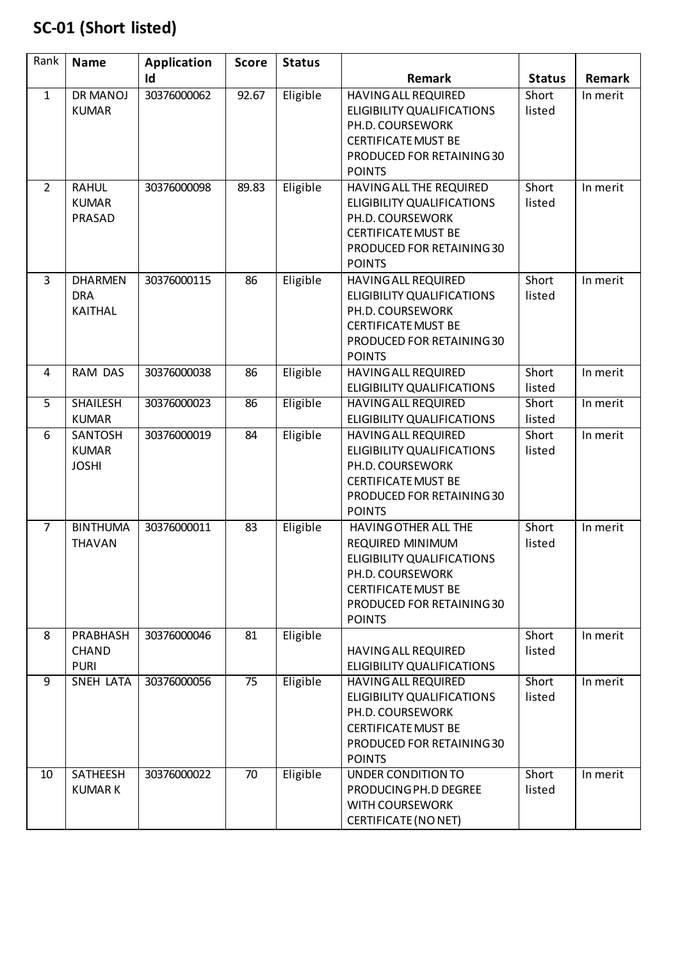## **SC-01 (Short listed)**

| Rank           | <b>Name</b>                                    | <b>Application</b> | <b>Score</b> | <b>Status</b> |                                                                                                                                                                                      |                 |          |
|----------------|------------------------------------------------|--------------------|--------------|---------------|--------------------------------------------------------------------------------------------------------------------------------------------------------------------------------------|-----------------|----------|
|                |                                                | Id                 |              |               | Remark                                                                                                                                                                               | <b>Status</b>   | Remark   |
| $\mathbf{1}$   | DR MANOJ<br><b>KUMAR</b>                       | 30376000062        | 92.67        | Eligible      | <b>HAVING ALL REQUIRED</b><br><b>ELIGIBILITY QUALIFICATIONS</b><br>PH.D. COURSEWORK<br><b>CERTIFICATE MUST BE</b><br>PRODUCED FOR RETAINING 30<br><b>POINTS</b>                      | Short<br>listed | In merit |
| $\overline{2}$ | <b>RAHUL</b><br><b>KUMAR</b><br>PRASAD         | 30376000098        | 89.83        | Eligible      | HAVING ALL THE REQUIRED<br><b>ELIGIBILITY QUALIFICATIONS</b><br>PH.D. COURSEWORK<br><b>CERTIFICATE MUST BE</b><br>PRODUCED FOR RETAINING 30<br><b>POINTS</b>                         | Short<br>listed | In merit |
| 3              | <b>DHARMEN</b><br><b>DRA</b><br><b>KAITHAL</b> | 30376000115        | 86           | Eligible      | <b>HAVING ALL REQUIRED</b><br><b>ELIGIBILITY QUALIFICATIONS</b><br>PH.D. COURSEWORK<br><b>CERTIFICATE MUST BE</b><br>PRODUCED FOR RETAINING 30<br><b>POINTS</b>                      | Short<br>listed | In merit |
| 4              | <b>RAM DAS</b>                                 | 30376000038        | 86           | Eligible      | <b>HAVING ALL REQUIRED</b><br><b>ELIGIBILITY QUALIFICATIONS</b>                                                                                                                      | Short<br>listed | In merit |
| 5              | <b>SHAILESH</b>                                | 30376000023        | 86           | Eligible      | <b>HAVING ALL REQUIRED</b>                                                                                                                                                           | Short           | In merit |
|                | <b>KUMAR</b><br>SANTOSH                        | 30376000019        |              |               | <b>ELIGIBILITY QUALIFICATIONS</b>                                                                                                                                                    | listed          |          |
| 6              | <b>KUMAR</b><br><b>JOSHI</b>                   |                    | 84           | Eligible      | <b>HAVING ALL REQUIRED</b><br><b>ELIGIBILITY QUALIFICATIONS</b><br>PH.D. COURSEWORK<br><b>CERTIFICATE MUST BE</b><br>PRODUCED FOR RETAINING 30<br><b>POINTS</b>                      | Short<br>listed | In merit |
| $\overline{7}$ | <b>BINTHUMA</b><br><b>THAVAN</b>               | 30376000011        | 83           | Eligible      | HAVING OTHER ALL THE<br><b>REQUIRED MINIMUM</b><br><b>ELIGIBILITY QUALIFICATIONS</b><br>PH.D. COURSEWORK<br><b>CERTIFICATE MUST BE</b><br>PRODUCED FOR RETAINING 30<br><b>POINTS</b> | Short<br>listed | In merit |
| 8              | PRABHASH<br><b>CHAND</b><br><b>PURI</b>        | 30376000046        | 81           | Eligible      | <b>HAVING ALL REQUIRED</b><br>ELIGIBILITY QUALIFICATIONS                                                                                                                             | Short<br>listed | In merit |
| 9              | SNEH LATA                                      | 30376000056        | 75           | Eligible      | <b>HAVING ALL REQUIRED</b><br>ELIGIBILITY QUALIFICATIONS<br>PH.D. COURSEWORK<br><b>CERTIFICATE MUST BE</b><br>PRODUCED FOR RETAINING 30<br><b>POINTS</b>                             | Short<br>listed | In merit |
| 10             | SATHEESH<br><b>KUMARK</b>                      | 30376000022        | 70           | Eligible      | UNDER CONDITION TO<br>PRODUCING PH.D DEGREE<br><b>WITH COURSEWORK</b><br>CERTIFICATE (NO NET)                                                                                        | Short<br>listed | In merit |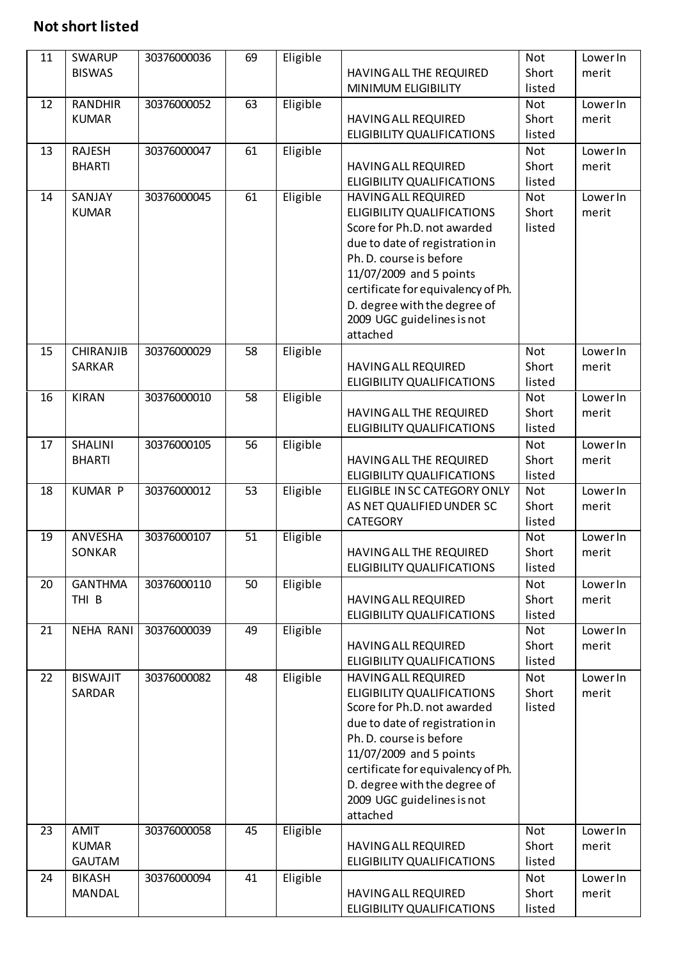### **Not short listed**

| 11 | SWARUP           | 30376000036 | 69              | Eligible |                                                                  | Not             | <b>Lower In</b> |
|----|------------------|-------------|-----------------|----------|------------------------------------------------------------------|-----------------|-----------------|
|    | <b>BISWAS</b>    |             |                 |          | HAVING ALL THE REQUIRED                                          | Short           | merit           |
|    |                  |             |                 |          | <b>MINIMUM ELIGIBILITY</b>                                       | listed          |                 |
| 12 | <b>RANDHIR</b>   | 30376000052 | 63              | Eligible |                                                                  | <b>Not</b>      | <b>Lower In</b> |
|    | <b>KUMAR</b>     |             |                 |          | <b>HAVING ALL REQUIRED</b>                                       | Short           | merit           |
|    |                  |             |                 |          | <b>ELIGIBILITY QUALIFICATIONS</b>                                | listed          |                 |
| 13 | <b>RAJESH</b>    | 30376000047 | 61              | Eligible |                                                                  | <b>Not</b>      | <b>Lower In</b> |
|    | <b>BHARTI</b>    |             |                 |          | <b>HAVING ALL REQUIRED</b>                                       | Short<br>listed | merit           |
| 14 | SANJAY           | 30376000045 | 61              | Eligible | ELIGIBILITY QUALIFICATIONS<br><b>HAVING ALL REQUIRED</b>         | <b>Not</b>      | <b>Lower In</b> |
|    | <b>KUMAR</b>     |             |                 |          | <b>ELIGIBILITY QUALIFICATIONS</b>                                | Short           | merit           |
|    |                  |             |                 |          | Score for Ph.D. not awarded                                      | listed          |                 |
|    |                  |             |                 |          | due to date of registration in                                   |                 |                 |
|    |                  |             |                 |          | Ph. D. course is before                                          |                 |                 |
|    |                  |             |                 |          | 11/07/2009 and 5 points                                          |                 |                 |
|    |                  |             |                 |          | certificate for equivalency of Ph.                               |                 |                 |
|    |                  |             |                 |          | D. degree with the degree of                                     |                 |                 |
|    |                  |             |                 |          | 2009 UGC guidelines is not                                       |                 |                 |
|    |                  |             |                 |          | attached                                                         |                 |                 |
| 15 | <b>CHIRANJIB</b> | 30376000029 | 58              | Eligible |                                                                  | <b>Not</b>      | <b>Lower In</b> |
|    | <b>SARKAR</b>    |             |                 |          | <b>HAVING ALL REQUIRED</b>                                       | Short           | merit           |
|    |                  |             |                 |          | <b>ELIGIBILITY QUALIFICATIONS</b>                                | listed          |                 |
| 16 | <b>KIRAN</b>     | 30376000010 | 58              | Eligible |                                                                  | Not             | <b>Lower In</b> |
|    |                  |             |                 |          | HAVING ALL THE REQUIRED                                          | Short           | merit           |
|    |                  |             |                 |          | <b>ELIGIBILITY QUALIFICATIONS</b>                                | listed          |                 |
| 17 | SHALINI          | 30376000105 | 56              | Eligible |                                                                  | Not             | <b>Lower In</b> |
|    | <b>BHARTI</b>    |             |                 |          | HAVING ALL THE REQUIRED<br><b>ELIGIBILITY QUALIFICATIONS</b>     | Short<br>listed | merit           |
| 18 | <b>KUMAR P</b>   | 30376000012 | 53              | Eligible | ELIGIBLE IN SC CATEGORY ONLY                                     | <b>Not</b>      | <b>Lower In</b> |
|    |                  |             |                 |          | AS NET QUALIFIED UNDER SC                                        | Short           | merit           |
|    |                  |             |                 |          | <b>CATEGORY</b>                                                  | listed          |                 |
| 19 | ANVESHA          | 30376000107 | $\overline{51}$ | Eligible |                                                                  | <b>Not</b>      | <b>Lower In</b> |
|    | SONKAR           |             |                 |          | HAVING ALL THE REQUIRED                                          | Short           | merit           |
|    |                  |             |                 |          | <b>ELIGIBILITY QUALIFICATIONS</b>                                | listed          |                 |
| 20 | <b>GANTHMA</b>   | 30376000110 | 50              | Eligible |                                                                  | <b>Not</b>      | <b>Lower In</b> |
|    | THI <sub>B</sub> |             |                 |          | <b>HAVING ALL REQUIRED</b>                                       | Short           | merit           |
|    |                  |             |                 |          | <b>ELIGIBILITY QUALIFICATIONS</b>                                | listed          |                 |
| 21 | <b>NEHA RANI</b> | 30376000039 | 49              | Eligible |                                                                  | Not             | <b>Lower In</b> |
|    |                  |             |                 |          | <b>HAVING ALL REQUIRED</b>                                       | Short           | merit           |
|    |                  |             |                 |          | ELIGIBILITY QUALIFICATIONS                                       | listed          |                 |
| 22 | <b>BISWAJIT</b>  | 30376000082 | 48              | Eligible | <b>HAVING ALL REQUIRED</b>                                       | <b>Not</b>      | <b>Lower In</b> |
|    | SARDAR           |             |                 |          | <b>ELIGIBILITY QUALIFICATIONS</b><br>Score for Ph.D. not awarded | Short<br>listed | merit           |
|    |                  |             |                 |          | due to date of registration in                                   |                 |                 |
|    |                  |             |                 |          | Ph. D. course is before                                          |                 |                 |
|    |                  |             |                 |          | 11/07/2009 and 5 points                                          |                 |                 |
|    |                  |             |                 |          | certificate for equivalency of Ph.                               |                 |                 |
|    |                  |             |                 |          | D. degree with the degree of                                     |                 |                 |
|    |                  |             |                 |          | 2009 UGC guidelines is not                                       |                 |                 |
|    |                  |             |                 |          | attached                                                         |                 |                 |
| 23 | <b>AMIT</b>      | 30376000058 | 45              | Eligible |                                                                  | Not             | <b>Lower In</b> |
|    | <b>KUMAR</b>     |             |                 |          | <b>HAVING ALL REQUIRED</b>                                       | Short           | merit           |
|    | <b>GAUTAM</b>    |             |                 |          | <b>ELIGIBILITY QUALIFICATIONS</b>                                | listed          |                 |
| 24 | <b>BIKASH</b>    | 30376000094 | 41              | Eligible |                                                                  | Not             | <b>Lower In</b> |
|    | <b>MANDAL</b>    |             |                 |          | <b>HAVING ALL REQUIRED</b>                                       | Short           | merit           |
|    |                  |             |                 |          | ELIGIBILITY QUALIFICATIONS                                       | listed          |                 |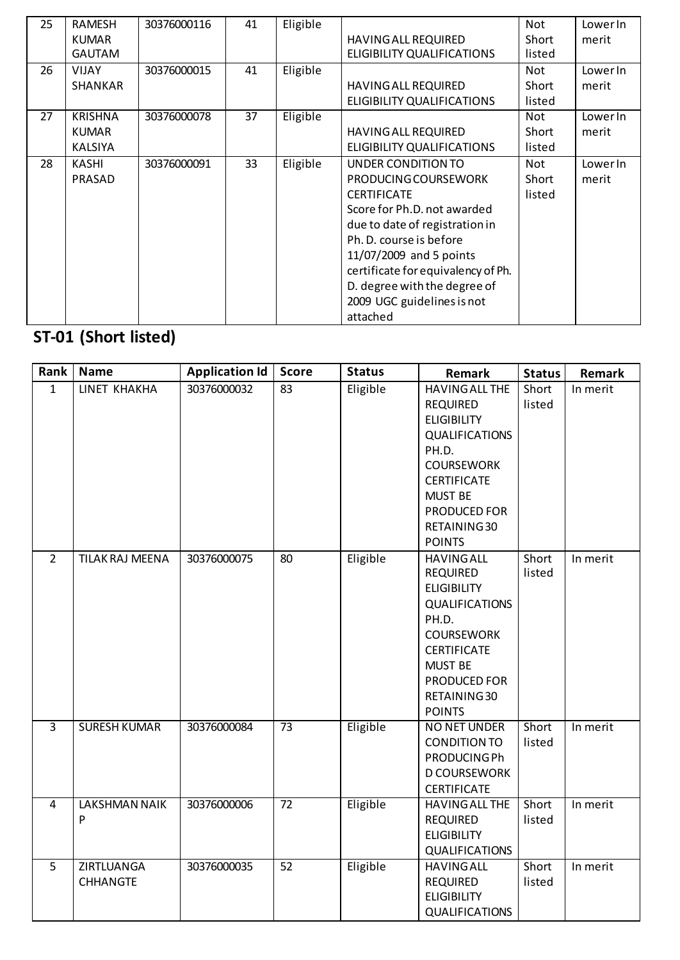| 25 | <b>RAMESH</b>  | 30376000116 | 41 | Eligible |                                    | Not        | LowerIn |
|----|----------------|-------------|----|----------|------------------------------------|------------|---------|
|    | <b>KUMAR</b>   |             |    |          | <b>HAVING ALL REQUIRED</b>         | Short      | merit   |
|    | <b>GAUTAM</b>  |             |    |          | ELIGIBILITY QUALIFICATIONS         | listed     |         |
| 26 | <b>VIJAY</b>   | 30376000015 | 41 | Eligible |                                    | Not        | LowerIn |
|    | SHANKAR        |             |    |          | <b>HAVING ALL REQUIRED</b>         | Short      | merit   |
|    |                |             |    |          | ELIGIBILITY QUALIFICATIONS         | listed     |         |
| 27 | <b>KRISHNA</b> | 30376000078 | 37 | Eligible |                                    | Not        | LowerIn |
|    | <b>KUMAR</b>   |             |    |          | <b>HAVING ALL REQUIRED</b>         | Short      | merit   |
|    | <b>KALSIYA</b> |             |    |          | ELIGIBILITY QUALIFICATIONS         | listed     |         |
| 28 | KASHI          | 30376000091 | 33 | Eligible | UNDER CONDITION TO                 | <b>Not</b> | LowerIn |
|    | PRASAD         |             |    |          | PRODUCING COURSEWORK               | Short      | merit   |
|    |                |             |    |          | <b>CERTIFICATE</b>                 | listed     |         |
|    |                |             |    |          | Score for Ph.D. not awarded        |            |         |
|    |                |             |    |          | due to date of registration in     |            |         |
|    |                |             |    |          | Ph. D. course is before            |            |         |
|    |                |             |    |          | 11/07/2009 and 5 points            |            |         |
|    |                |             |    |          | certificate for equivalency of Ph. |            |         |
|    |                |             |    |          | D. degree with the degree of       |            |         |
|    |                |             |    |          | 2009 UGC guidelines is not         |            |         |
|    |                |             |    |          | attached                           |            |         |

# **ST-01 (Short listed)**

| Rank           | <b>Name</b>                   | <b>Application Id</b> | <b>Score</b> | <b>Status</b> | Remark                                                                                                                                                                                                         | <b>Status</b>   | Remark   |
|----------------|-------------------------------|-----------------------|--------------|---------------|----------------------------------------------------------------------------------------------------------------------------------------------------------------------------------------------------------------|-----------------|----------|
| $\mathbf{1}$   | LINET KHAKHA                  | 30376000032           | 83           | Eligible      | <b>HAVING ALL THE</b><br><b>REQUIRED</b><br><b>ELIGIBILITY</b><br><b>QUALIFICATIONS</b><br>PH.D.<br><b>COURSEWORK</b><br><b>CERTIFICATE</b><br><b>MUST BE</b><br>PRODUCED FOR<br>RETAINING 30<br><b>POINTS</b> | Short<br>listed | In merit |
| $\overline{2}$ | <b>TILAK RAJ MEENA</b>        | 30376000075           | 80           | Eligible      | <b>HAVING ALL</b><br><b>REQUIRED</b><br><b>ELIGIBILITY</b><br>QUALIFICATIONS<br>PH.D.<br><b>COURSEWORK</b><br><b>CERTIFICATE</b><br><b>MUST BE</b><br>PRODUCED FOR<br>RETAINING 30<br><b>POINTS</b>            | Short<br>listed | In merit |
| $\overline{3}$ | <b>SURESH KUMAR</b>           | 30376000084           | 73           | Eligible      | NO NET UNDER<br><b>CONDITION TO</b><br><b>PRODUCINGPh</b><br><b>D COURSEWORK</b><br><b>CERTIFICATE</b>                                                                                                         | Short<br>listed | In merit |
| 4              | <b>LAKSHMAN NAIK</b><br>P     | 30376000006           | 72           | Eligible      | HAVING ALL THE<br><b>REQUIRED</b><br><b>ELIGIBILITY</b><br><b>QUALIFICATIONS</b>                                                                                                                               | Short<br>listed | In merit |
| 5              | ZIRTLUANGA<br><b>CHHANGTE</b> | 30376000035           | 52           | Eligible      | <b>HAVING ALL</b><br><b>REQUIRED</b><br><b>ELIGIBILITY</b><br><b>QUALIFICATIONS</b>                                                                                                                            | Short<br>listed | In merit |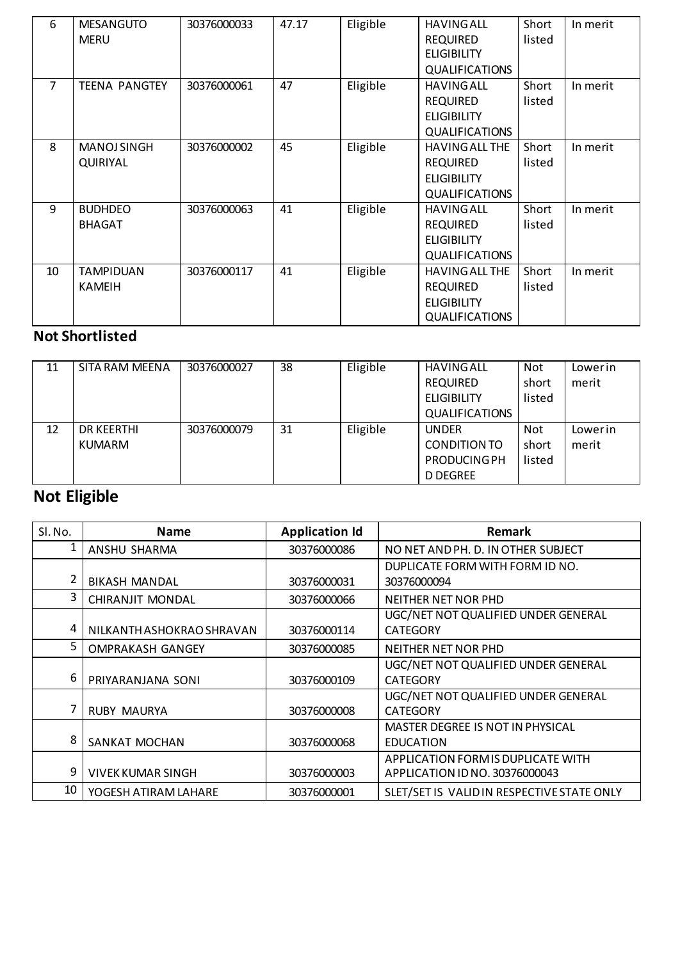| 6  | <b>MESANGUTO</b><br><b>MERU</b>   | 30376000033 | 47.17 | Eligible | <b>HAVING ALL</b><br><b>REQUIRED</b><br><b>ELIGIBILITY</b><br><b>QUALIFICATIONS</b>     | Short<br>listed | In merit |
|----|-----------------------------------|-------------|-------|----------|-----------------------------------------------------------------------------------------|-----------------|----------|
| 7  | <b>TEENA PANGTEY</b>              | 30376000061 | 47    | Eligible | <b>HAVING ALL</b><br><b>REQUIRED</b><br><b>ELIGIBILITY</b><br><b>QUALIFICATIONS</b>     | Short<br>listed | In merit |
| 8  | <b>MANOJ SINGH</b><br>QUIRIYAL    | 30376000002 | 45    | Eligible | <b>HAVING ALL THE</b><br><b>REQUIRED</b><br><b>ELIGIBILITY</b><br><b>QUALIFICATIONS</b> | Short<br>listed | In merit |
| 9  | <b>BUDHDEO</b><br><b>BHAGAT</b>   | 30376000063 | 41    | Eligible | <b>HAVING ALL</b><br><b>REQUIRED</b><br><b>ELIGIBILITY</b><br><b>QUALIFICATIONS</b>     | Short<br>listed | In merit |
| 10 | <b>TAMPIDUAN</b><br><b>KAMEIH</b> | 30376000117 | 41    | Eligible | <b>HAVING ALL THE</b><br><b>REQUIRED</b><br><b>ELIGIBILITY</b><br><b>QUALIFICATIONS</b> | Short<br>listed | In merit |

#### **Not Shortlisted**

| 11 | SITA RAM MEENA    | 30376000027 | 38 | Eligible | <b>HAVING ALL</b>     | <b>Not</b> | Lowerin |
|----|-------------------|-------------|----|----------|-----------------------|------------|---------|
|    |                   |             |    |          | <b>REQUIRED</b>       | short      | merit   |
|    |                   |             |    |          | <b>ELIGIBILITY</b>    | listed     |         |
|    |                   |             |    |          | <b>QUALIFICATIONS</b> |            |         |
| 12 | <b>DR KEERTHI</b> | 30376000079 | 31 | Eligible | <b>UNDER</b>          | <b>Not</b> | Lowerin |
|    | <b>KUMARM</b>     |             |    |          | CONDITION TO          | short      | merit   |
|    |                   |             |    |          | <b>PRODUCING PH</b>   | listed     |         |
|    |                   |             |    |          | <b>D DEGREE</b>       |            |         |

## **Not Eligible**

| SI. No. | <b>Name</b>               | <b>Application Id</b> | Remark                                     |
|---------|---------------------------|-----------------------|--------------------------------------------|
|         | ANSHU SHARMA              | 30376000086           | NO NET AND PH. D. IN OTHER SUBJECT         |
|         |                           |                       | DUPLICATE FORM WITH FORM ID NO.            |
|         | <b>BIKASH MANDAL</b>      | 30376000031           | 30376000094                                |
| 3       | <b>CHIRANJIT MONDAL</b>   | 30376000066           | NEITHER NET NOR PHD                        |
|         |                           |                       | UGC/NET NOT QUALIFIED UNDER GENERAL        |
| 4       | NILKANTH ASHOKRAO SHRAVAN | 30376000114           | <b>CATEGORY</b>                            |
| 5       | <b>OMPRAKASH GANGEY</b>   | 30376000085           | <b>NEITHER NET NOR PHD</b>                 |
|         |                           |                       | UGC/NET NOT QUALIFIED UNDER GENERAL        |
| 6       | PRIYARANJANA SONI         | 30376000109           | <b>CATEGORY</b>                            |
|         |                           |                       | UGC/NET NOT QUALIFIED UNDER GENERAL        |
|         | <b>RUBY MAURYA</b>        | 30376000008           | <b>CATEGORY</b>                            |
|         |                           |                       | <b>MASTER DEGREE IS NOT IN PHYSICAL</b>    |
| 8       | SANKAT MOCHAN             | 30376000068           | <b>EDUCATION</b>                           |
|         |                           |                       | APPLICATION FORM IS DUPLICATE WITH         |
| 9       | <b>VIVEK KUMAR SINGH</b>  | 30376000003           | APPLICATION ID NO. 30376000043             |
| 10      | YOGESH ATIRAM LAHARE      | 30376000001           | SLET/SET IS VALID IN RESPECTIVE STATE ONLY |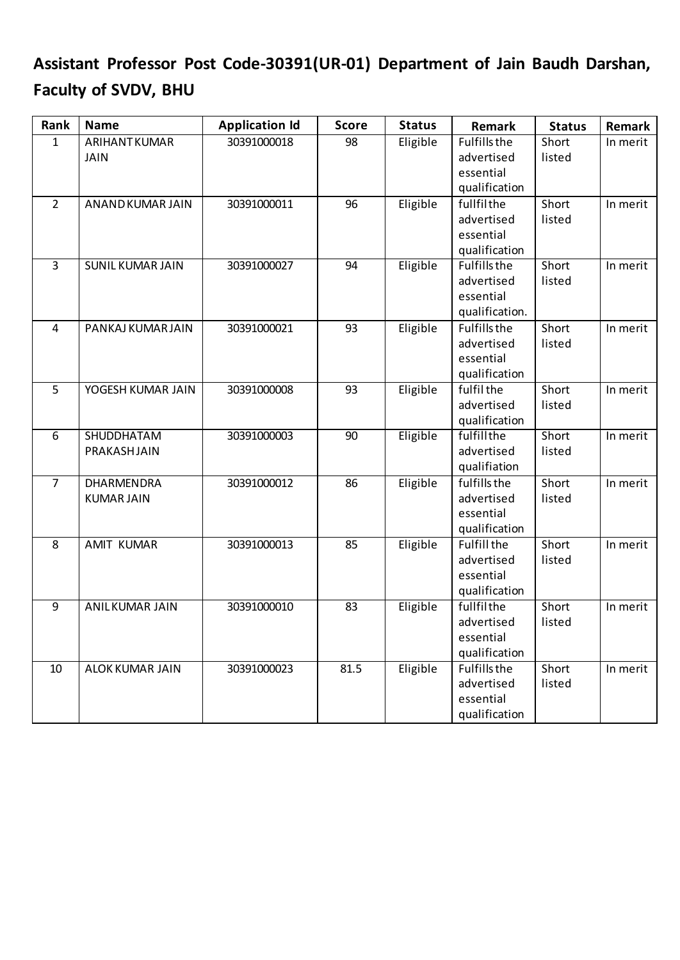## **Assistant Professor Post Code-30391(UR-01) Department of Jain Baudh Darshan, Faculty of SVDV, BHU**

| 30391000018<br>98<br>Eligible<br><b>Fulfills the</b><br>Short<br><b>ARIHANT KUMAR</b><br>In merit<br>$\mathbf{1}$<br>advertised<br>listed<br><b>JAIN</b><br>essential<br>qualification<br>Eligible<br>$\overline{2}$<br>30391000011<br>96<br>fullfilthe<br>Short<br>ANAND KUMAR JAIN<br>In merit<br>advertised<br>listed<br>essential<br>qualification<br>Eligible<br><b>Fulfills the</b><br>$\overline{3}$<br><b>SUNIL KUMAR JAIN</b><br>30391000027<br>Short<br>In merit<br>94<br>advertised<br>listed<br>essential<br>qualification.<br>Eligible<br>30391000021<br>93<br><b>Fulfills the</b><br>Short<br>In merit<br>PANKAJ KUMAR JAIN<br>4<br>advertised<br>listed<br>essential<br>qualification<br>Eligible<br>fulfil the<br>30391000008<br>Short<br>In merit<br>5<br>YOGESH KUMAR JAIN<br>93<br>advertised<br>listed<br>qualification<br>Eligible<br>fulfillthe<br>Short<br>SHUDDHATAM<br>30391000003<br>90<br>In merit<br>6<br>advertised<br>PRAKASHJAIN<br>listed<br>qualifiation<br>Eligible<br>DHARMENDRA<br>30391000012<br>fulfills the<br>Short<br>In merit<br>$\overline{7}$<br>86 |
|-------------------------------------------------------------------------------------------------------------------------------------------------------------------------------------------------------------------------------------------------------------------------------------------------------------------------------------------------------------------------------------------------------------------------------------------------------------------------------------------------------------------------------------------------------------------------------------------------------------------------------------------------------------------------------------------------------------------------------------------------------------------------------------------------------------------------------------------------------------------------------------------------------------------------------------------------------------------------------------------------------------------------------------------------------------------------------------------------|
|                                                                                                                                                                                                                                                                                                                                                                                                                                                                                                                                                                                                                                                                                                                                                                                                                                                                                                                                                                                                                                                                                                 |
|                                                                                                                                                                                                                                                                                                                                                                                                                                                                                                                                                                                                                                                                                                                                                                                                                                                                                                                                                                                                                                                                                                 |
|                                                                                                                                                                                                                                                                                                                                                                                                                                                                                                                                                                                                                                                                                                                                                                                                                                                                                                                                                                                                                                                                                                 |
|                                                                                                                                                                                                                                                                                                                                                                                                                                                                                                                                                                                                                                                                                                                                                                                                                                                                                                                                                                                                                                                                                                 |
|                                                                                                                                                                                                                                                                                                                                                                                                                                                                                                                                                                                                                                                                                                                                                                                                                                                                                                                                                                                                                                                                                                 |
|                                                                                                                                                                                                                                                                                                                                                                                                                                                                                                                                                                                                                                                                                                                                                                                                                                                                                                                                                                                                                                                                                                 |
|                                                                                                                                                                                                                                                                                                                                                                                                                                                                                                                                                                                                                                                                                                                                                                                                                                                                                                                                                                                                                                                                                                 |
|                                                                                                                                                                                                                                                                                                                                                                                                                                                                                                                                                                                                                                                                                                                                                                                                                                                                                                                                                                                                                                                                                                 |
|                                                                                                                                                                                                                                                                                                                                                                                                                                                                                                                                                                                                                                                                                                                                                                                                                                                                                                                                                                                                                                                                                                 |
|                                                                                                                                                                                                                                                                                                                                                                                                                                                                                                                                                                                                                                                                                                                                                                                                                                                                                                                                                                                                                                                                                                 |
|                                                                                                                                                                                                                                                                                                                                                                                                                                                                                                                                                                                                                                                                                                                                                                                                                                                                                                                                                                                                                                                                                                 |
|                                                                                                                                                                                                                                                                                                                                                                                                                                                                                                                                                                                                                                                                                                                                                                                                                                                                                                                                                                                                                                                                                                 |
|                                                                                                                                                                                                                                                                                                                                                                                                                                                                                                                                                                                                                                                                                                                                                                                                                                                                                                                                                                                                                                                                                                 |
|                                                                                                                                                                                                                                                                                                                                                                                                                                                                                                                                                                                                                                                                                                                                                                                                                                                                                                                                                                                                                                                                                                 |
|                                                                                                                                                                                                                                                                                                                                                                                                                                                                                                                                                                                                                                                                                                                                                                                                                                                                                                                                                                                                                                                                                                 |
|                                                                                                                                                                                                                                                                                                                                                                                                                                                                                                                                                                                                                                                                                                                                                                                                                                                                                                                                                                                                                                                                                                 |
|                                                                                                                                                                                                                                                                                                                                                                                                                                                                                                                                                                                                                                                                                                                                                                                                                                                                                                                                                                                                                                                                                                 |
|                                                                                                                                                                                                                                                                                                                                                                                                                                                                                                                                                                                                                                                                                                                                                                                                                                                                                                                                                                                                                                                                                                 |
|                                                                                                                                                                                                                                                                                                                                                                                                                                                                                                                                                                                                                                                                                                                                                                                                                                                                                                                                                                                                                                                                                                 |
|                                                                                                                                                                                                                                                                                                                                                                                                                                                                                                                                                                                                                                                                                                                                                                                                                                                                                                                                                                                                                                                                                                 |
|                                                                                                                                                                                                                                                                                                                                                                                                                                                                                                                                                                                                                                                                                                                                                                                                                                                                                                                                                                                                                                                                                                 |
|                                                                                                                                                                                                                                                                                                                                                                                                                                                                                                                                                                                                                                                                                                                                                                                                                                                                                                                                                                                                                                                                                                 |
|                                                                                                                                                                                                                                                                                                                                                                                                                                                                                                                                                                                                                                                                                                                                                                                                                                                                                                                                                                                                                                                                                                 |
| advertised<br><b>KUMAR JAIN</b><br>listed<br>essential                                                                                                                                                                                                                                                                                                                                                                                                                                                                                                                                                                                                                                                                                                                                                                                                                                                                                                                                                                                                                                          |
|                                                                                                                                                                                                                                                                                                                                                                                                                                                                                                                                                                                                                                                                                                                                                                                                                                                                                                                                                                                                                                                                                                 |
| qualification<br>Eligible<br><b>AMIT KUMAR</b><br>30391000013<br><b>Fulfill the</b><br>Short<br>8<br>85<br>In merit                                                                                                                                                                                                                                                                                                                                                                                                                                                                                                                                                                                                                                                                                                                                                                                                                                                                                                                                                                             |
| advertised<br>listed                                                                                                                                                                                                                                                                                                                                                                                                                                                                                                                                                                                                                                                                                                                                                                                                                                                                                                                                                                                                                                                                            |
| essential                                                                                                                                                                                                                                                                                                                                                                                                                                                                                                                                                                                                                                                                                                                                                                                                                                                                                                                                                                                                                                                                                       |
| qualification                                                                                                                                                                                                                                                                                                                                                                                                                                                                                                                                                                                                                                                                                                                                                                                                                                                                                                                                                                                                                                                                                   |
| Eligible<br>fullfilthe<br>$\overline{9}$<br><b>ANILKUMAR JAIN</b><br>30391000010<br>$\overline{83}$<br>Short<br>In merit                                                                                                                                                                                                                                                                                                                                                                                                                                                                                                                                                                                                                                                                                                                                                                                                                                                                                                                                                                        |
| listed<br>advertised                                                                                                                                                                                                                                                                                                                                                                                                                                                                                                                                                                                                                                                                                                                                                                                                                                                                                                                                                                                                                                                                            |
| essential                                                                                                                                                                                                                                                                                                                                                                                                                                                                                                                                                                                                                                                                                                                                                                                                                                                                                                                                                                                                                                                                                       |
| qualification                                                                                                                                                                                                                                                                                                                                                                                                                                                                                                                                                                                                                                                                                                                                                                                                                                                                                                                                                                                                                                                                                   |
| Eligible<br>81.5<br><b>Fulfills the</b><br>30391000023<br>Short<br>10<br><b>ALOK KUMAR JAIN</b><br>In merit                                                                                                                                                                                                                                                                                                                                                                                                                                                                                                                                                                                                                                                                                                                                                                                                                                                                                                                                                                                     |
| advertised<br>listed                                                                                                                                                                                                                                                                                                                                                                                                                                                                                                                                                                                                                                                                                                                                                                                                                                                                                                                                                                                                                                                                            |
| essential                                                                                                                                                                                                                                                                                                                                                                                                                                                                                                                                                                                                                                                                                                                                                                                                                                                                                                                                                                                                                                                                                       |
| qualification                                                                                                                                                                                                                                                                                                                                                                                                                                                                                                                                                                                                                                                                                                                                                                                                                                                                                                                                                                                                                                                                                   |